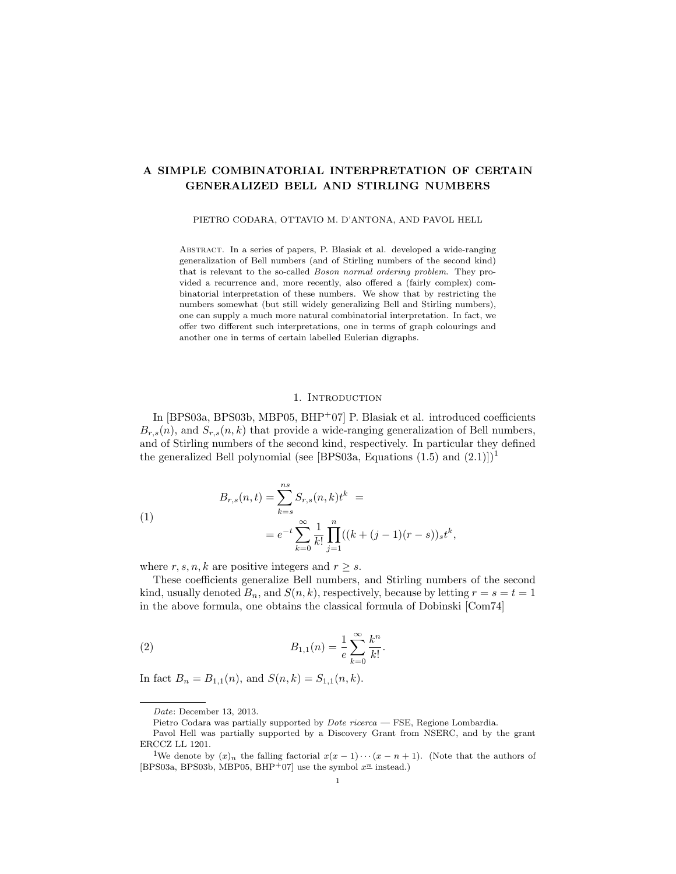# A SIMPLE COMBINATORIAL INTERPRETATION OF CERTAIN GENERALIZED BELL AND STIRLING NUMBERS

PIETRO CODARA, OTTAVIO M. D'ANTONA, AND PAVOL HELL

Abstract. In a series of papers, P. Blasiak et al. developed a wide-ranging generalization of Bell numbers (and of Stirling numbers of the second kind) that is relevant to the so-called Boson normal ordering problem. They provided a recurrence and, more recently, also offered a (fairly complex) combinatorial interpretation of these numbers. We show that by restricting the numbers somewhat (but still widely generalizing Bell and Stirling numbers), one can supply a much more natural combinatorial interpretation. In fact, we offer two different such interpretations, one in terms of graph colourings and another one in terms of certain labelled Eulerian digraphs.

## 1. INTRODUCTION

In [BPS03a, BPS03b, MBP05, BHP+07] P. Blasiak et al. introduced coefficients  $B_{r,s}(n)$ , and  $S_{r,s}(n,k)$  that provide a wide-ranging generalization of Bell numbers, and of Stirling numbers of the second kind, respectively. In particular they defined the generalized Bell polynomial (see [BPS03a, Equations  $(1.5)$  and  $(2.1)$ ]<sup>1</sup>

(1)  

$$
B_{r,s}(n,t) = \sum_{k=s}^{ns} S_{r,s}(n,k)t^k =
$$

$$
= e^{-t} \sum_{k=0}^{\infty} \frac{1}{k!} \prod_{j=1}^n ((k+(j-1)(r-s))_s t^k,
$$

where  $r, s, n, k$  are positive integers and  $r \geq s$ .

These coefficients generalize Bell numbers, and Stirling numbers of the second kind, usually denoted  $B_n$ , and  $S(n, k)$ , respectively, because by letting  $r = s = t = 1$ in the above formula, one obtains the classical formula of Dobinski [Com74]

(2) 
$$
B_{1,1}(n) = \frac{1}{e} \sum_{k=0}^{\infty} \frac{k^n}{k!}.
$$

In fact  $B_n = B_{1,1}(n)$ , and  $S(n, k) = S_{1,1}(n, k)$ .

Date: December 13, 2013.

Pietro Codara was partially supported by Dote ricerca — FSE, Regione Lombardia.

Pavol Hell was partially supported by a Discovery Grant from NSERC, and by the grant ERCCZ LL 1201.

<sup>&</sup>lt;sup>1</sup>We denote by  $(x)_n$  the falling factorial  $x(x - 1) \cdots (x - n + 1)$ . (Note that the authors of [BPS03a, BPS03b, MBP05, BHP+07] use the symbol  $x^{\underline{n}}$  instead.)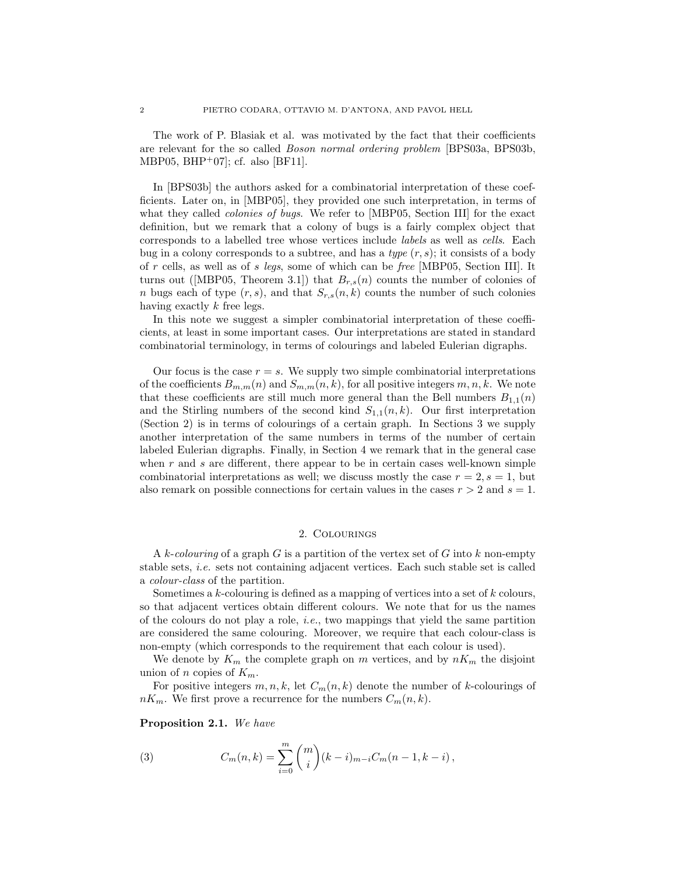The work of P. Blasiak et al. was motivated by the fact that their coefficients are relevant for the so called Boson normal ordering problem [BPS03a, BPS03b, MBP05, BHP<sup>+</sup>07]; cf. also [BF11].

In [BPS03b] the authors asked for a combinatorial interpretation of these coefficients. Later on, in [MBP05], they provided one such interpretation, in terms of what they called *colonies of bugs*. We refer to [MBP05, Section III] for the exact definition, but we remark that a colony of bugs is a fairly complex object that corresponds to a labelled tree whose vertices include labels as well as cells. Each bug in a colony corresponds to a subtree, and has a type  $(r, s)$ ; it consists of a body of r cells, as well as of s legs, some of which can be free [MBP05, Section III]. It turns out ([MBP05, Theorem 3.1]) that  $B_{r,s}(n)$  counts the number of colonies of n bugs each of type  $(r, s)$ , and that  $S_{r,s}(n, k)$  counts the number of such colonies having exactly k free legs.

In this note we suggest a simpler combinatorial interpretation of these coefficients, at least in some important cases. Our interpretations are stated in standard combinatorial terminology, in terms of colourings and labeled Eulerian digraphs.

Our focus is the case  $r = s$ . We supply two simple combinatorial interpretations of the coefficients  $B_{m,m}(n)$  and  $S_{m,m}(n, k)$ , for all positive integers  $m, n, k$ . We note that these coefficients are still much more general than the Bell numbers  $B_{1,1}(n)$ and the Stirling numbers of the second kind  $S_{1,1}(n,k)$ . Our first interpretation (Section 2) is in terms of colourings of a certain graph. In Sections 3 we supply another interpretation of the same numbers in terms of the number of certain labeled Eulerian digraphs. Finally, in Section 4 we remark that in the general case when  $r$  and  $s$  are different, there appear to be in certain cases well-known simple combinatorial interpretations as well; we discuss mostly the case  $r = 2$ ,  $s = 1$ , but also remark on possible connections for certain values in the cases  $r > 2$  and  $s = 1$ .

### 2. Colourings

A k-colouring of a graph G is a partition of the vertex set of G into k non-empty stable sets, i.e. sets not containing adjacent vertices. Each such stable set is called a colour-class of the partition.

Sometimes a  $k$ -colouring is defined as a mapping of vertices into a set of  $k$  colours, so that adjacent vertices obtain different colours. We note that for us the names of the colours do not play a role, i.e., two mappings that yield the same partition are considered the same colouring. Moreover, we require that each colour-class is non-empty (which corresponds to the requirement that each colour is used).

We denote by  $K_m$  the complete graph on m vertices, and by  $nK_m$  the disjoint union of n copies of  $K_m$ .

For positive integers  $m, n, k$ , let  $C_m(n, k)$  denote the number of k-colourings of  $nK_m$ . We first prove a recurrence for the numbers  $C_m(n, k)$ .

Proposition 2.1. We have

(3) 
$$
C_m(n,k) = \sum_{i=0}^m \binom{m}{i} (k-i)_{m-i} C_m(n-1,k-i),
$$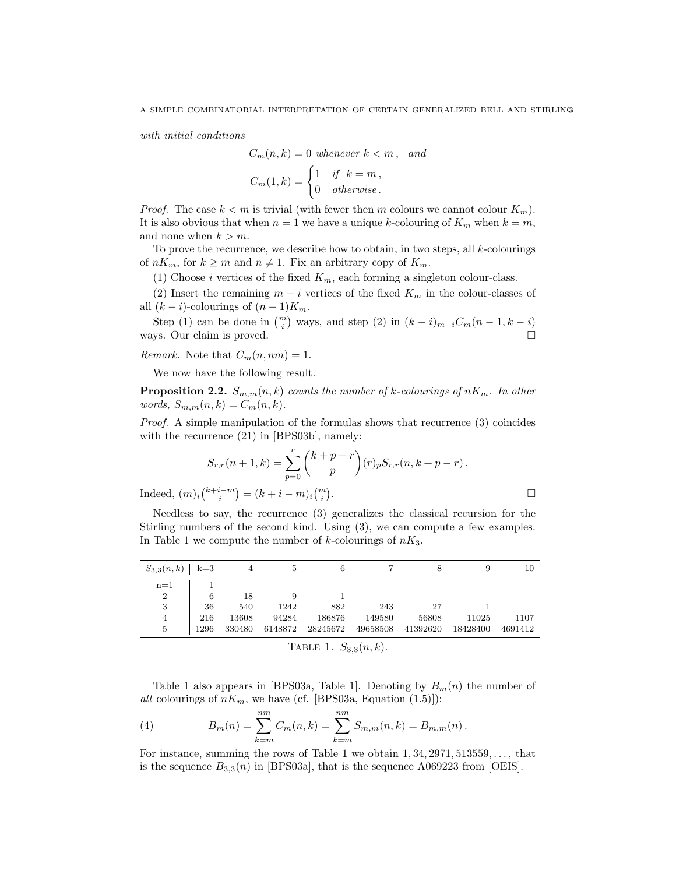with initial conditions

$$
C_m(n,k) = 0 \text{ whenever } k < m, \text{ and}
$$
\n
$$
C_m(1,k) = \begin{cases} 1 & \text{if } k = m, \\ 0 & \text{otherwise.} \end{cases}
$$

*Proof.* The case  $k < m$  is trivial (with fewer then m colours we cannot colour  $K_m$ ). It is also obvious that when  $n = 1$  we have a unique k-colouring of  $K_m$  when  $k = m$ , and none when  $k > m$ .

To prove the recurrence, we describe how to obtain, in two steps, all  $k$ -colourings of  $nK_m$ , for  $k \geq m$  and  $n \neq 1$ . Fix an arbitrary copy of  $K_m$ .

(1) Choose *i* vertices of the fixed  $K_m$ , each forming a singleton colour-class.

(2) Insert the remaining  $m - i$  vertices of the fixed  $K_m$  in the colour-classes of all  $(k - i)$ -colourings of  $(n - 1)K_m$ .

Step (1) can be done in  $\binom{m}{i}$  ways, and step (2) in  $(k - i)_{m-i}C_m(n - 1, k - i)$ ways. Our claim is proved.

Remark. Note that  $C_m(n, nm) = 1$ .

We now have the following result.

**Proposition 2.2.**  $S_{m,m}(n, k)$  counts the number of k-colourings of  $nK_m$ . In other words,  $S_{m,m}(n,k) = C_m(n,k)$ .

Proof. A simple manipulation of the formulas shows that recurrence (3) coincides with the recurrence (21) in [BPS03b], namely:

$$
S_{r,r}(n+1,k) = \sum_{p=0}^{r} {k+p-r \choose p} (r)_p S_{r,r}(n,k+p-r).
$$
  

$$
m)_i {k+i-m \choose i} = (k+i-m)_i {m \choose i}.
$$

Indeed,  $(m)_i \binom{k+i-m}{i} = (k+i-m)_i \binom{m}{i}$ 

Needless to say, the recurrence (3) generalizes the classical recursion for the Stirling numbers of the second kind. Using (3), we can compute a few examples. In Table 1 we compute the number of  $k$ -colourings of  $nK_3$ .

| $S_{3,3}(n,k)$   k=3 |      |        | 5.      |          |          |          |          | 10      |
|----------------------|------|--------|---------|----------|----------|----------|----------|---------|
| $n=1$                |      |        |         |          |          |          |          |         |
| $\overline{2}$       | 6    | 18     |         |          |          |          |          |         |
| 3                    | 36   | 540    | 1242    | 882      | 243      | 27       |          |         |
| $\overline{4}$       | 216  | 13608  | 94284   | 186876   | 149580   | 56808    | 11025    | 1107    |
| 5                    | 1296 | 330480 | 6148872 | 28245672 | 49658508 | 41392620 | 18428400 | 4691412 |

TABLE 1.  $S_{3,3}(n, k)$ .

Table 1 also appears in [BPS03a, Table 1]. Denoting by  $B_m(n)$  the number of all colourings of  $nK_m$ , we have (cf. [BPS03a, Equation (1.5)]):

(4) 
$$
B_m(n) = \sum_{k=m}^{nm} C_m(n,k) = \sum_{k=m}^{nm} S_{m,m}(n,k) = B_{m,m}(n).
$$

For instance, summing the rows of Table 1 we obtain  $1, 34, 2971, 513559, \ldots$ , that is the sequence  $B_{3,3}(n)$  in [BPS03a], that is the sequence A069223 from [OEIS].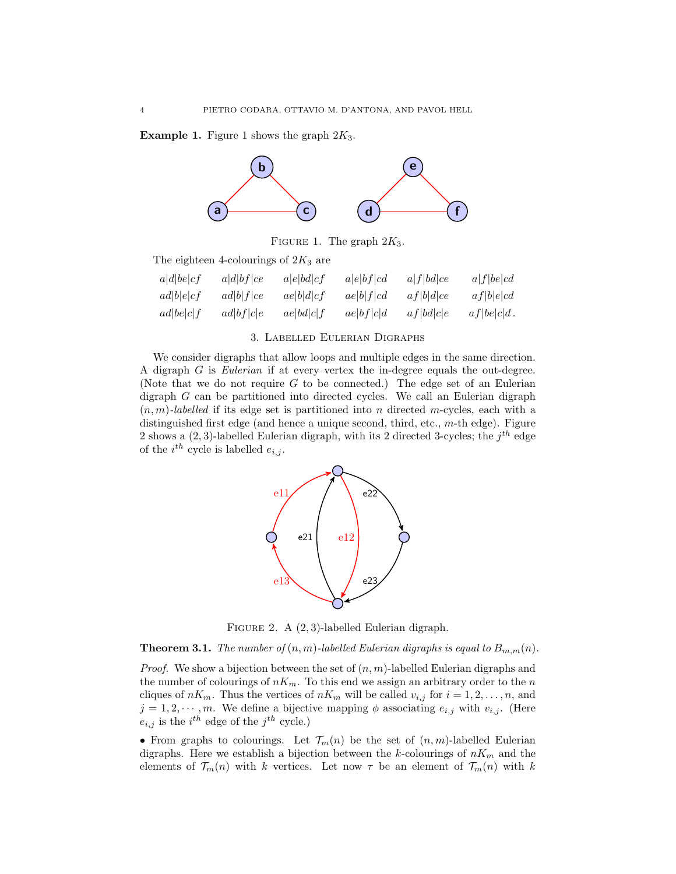**Example 1.** Figure 1 shows the graph  $2K_3$ .



FIGURE 1. The graph  $2K_3$ .

The eighteen 4-colourings of  $2K_3$  are

| a d be cf | a d bf ce | a e bd cf | a e bf cd | a f bd ce | a f be cd     |
|-----------|-----------|-----------|-----------|-----------|---------------|
| ad b e cf | ad b f ce | ae b d cf | ae b f cd | af b d ce | af b e cd     |
| ad be c f | ad bf c e | ae bd c f | ae bf c d | af bd c e | $af be c d$ . |

#### 3. Labelled Eulerian Digraphs

We consider digraphs that allow loops and multiple edges in the same direction. A digraph G is Eulerian if at every vertex the in-degree equals the out-degree. (Note that we do not require  $G$  to be connected.) The edge set of an Eulerian digraph G can be partitioned into directed cycles. We call an Eulerian digraph  $(n, m)$ -labelled if its edge set is partitioned into n directed m-cycles, each with a distinguished first edge (and hence a unique second, third, etc., m-th edge). Figure 2 shows a  $(2, 3)$ -labelled Eulerian digraph, with its 2 directed 3-cycles; the  $j<sup>th</sup>$  edge of the  $i^{th}$  cycle is labelled  $e_{i,j}$ .



FIGURE 2. A  $(2, 3)$ -labelled Eulerian digraph.

**Theorem 3.1.** The number of  $(n, m)$ -labelled Eulerian digraphs is equal to  $B_{m,m}(n)$ .

*Proof.* We show a bijection between the set of  $(n, m)$ -labelled Eulerian digraphs and the number of colourings of  $nK_m$ . To this end we assign an arbitrary order to the n cliques of  $nK_m$ . Thus the vertices of  $nK_m$  will be called  $v_{i,j}$  for  $i = 1, 2, \ldots, n$ , and  $j = 1, 2, \dots, m$ . We define a bijective mapping  $\phi$  associating  $e_{i,j}$  with  $v_{i,j}$ . (Here  $e_{i,j}$  is the  $i^{th}$  edge of the  $j^{th}$  cycle.)

• From graphs to colourings. Let  $\mathcal{T}_m(n)$  be the set of  $(n, m)$ -labelled Eulerian digraphs. Here we establish a bijection between the k-colourings of  $nK_m$  and the elements of  $\mathcal{T}_m(n)$  with k vertices. Let now  $\tau$  be an element of  $\mathcal{T}_m(n)$  with k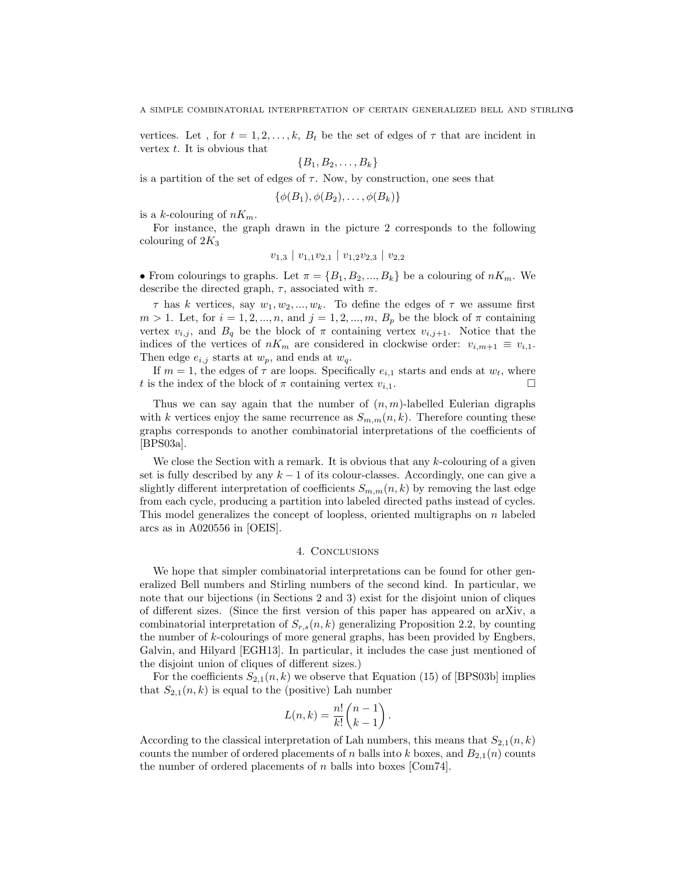vertices. Let, for  $t = 1, 2, \ldots, k$ ,  $B_t$  be the set of edges of  $\tau$  that are incident in vertex  $t$ . It is obvious that

$$
\{B_1,B_2,\ldots,B_k\}
$$

is a partition of the set of edges of  $\tau$ . Now, by construction, one sees that

 $\{\phi(B_1), \phi(B_2), \ldots, \phi(B_k)\}\$ 

is a k-colouring of  $nK_m$ .

For instance, the graph drawn in the picture 2 corresponds to the following colouring of  $2K_3$ 

$$
v_{1,3} \mid v_{1,1}v_{2,1} \mid v_{1,2}v_{2,3} \mid v_{2,2}
$$

• From colourings to graphs. Let  $\pi = \{B_1, B_2, ..., B_k\}$  be a colouring of  $nK_m$ . We describe the directed graph,  $\tau$ , associated with  $\pi$ .

 $\tau$  has k vertices, say  $w_1, w_2, ..., w_k$ . To define the edges of  $\tau$  we assume first  $m > 1$ . Let, for  $i = 1, 2, ..., n$ , and  $j = 1, 2, ..., m$ ,  $B_p$  be the block of  $\pi$  containing vertex  $v_{i,j}$ , and  $B_q$  be the block of  $\pi$  containing vertex  $v_{i,j+1}$ . Notice that the indices of the vertices of  $nK_m$  are considered in clockwise order:  $v_{i,m+1} \equiv v_{i,1}$ . Then edge  $e_{i,j}$  starts at  $w_p$ , and ends at  $w_q$ .

If  $m = 1$ , the edges of  $\tau$  are loops. Specifically  $e_{i,1}$  starts and ends at  $w_t$ , where t is the index of the block of  $\pi$  containing vertex  $v_{i,1}$ .

Thus we can say again that the number of  $(n, m)$ -labelled Eulerian digraphs with k vertices enjoy the same recurrence as  $S_{m,m}(n, k)$ . Therefore counting these graphs corresponds to another combinatorial interpretations of the coefficients of [BPS03a].

We close the Section with a remark. It is obvious that any k-colouring of a given set is fully described by any  $k-1$  of its colour-classes. Accordingly, one can give a slightly different interpretation of coefficients  $S_{m,m}(n,k)$  by removing the last edge from each cycle, producing a partition into labeled directed paths instead of cycles. This model generalizes the concept of loopless, oriented multigraphs on  $n$  labeled arcs as in A020556 in [OEIS].

## 4. Conclusions

We hope that simpler combinatorial interpretations can be found for other generalized Bell numbers and Stirling numbers of the second kind. In particular, we note that our bijections (in Sections 2 and 3) exist for the disjoint union of cliques of different sizes. (Since the first version of this paper has appeared on arXiv, a combinatorial interpretation of  $S_{r,s}(n, k)$  generalizing Proposition 2.2, by counting the number of k-colourings of more general graphs, has been provided by Engbers, Galvin, and Hilyard [EGH13]. In particular, it includes the case just mentioned of the disjoint union of cliques of different sizes.)

For the coefficients  $S_{2,1}(n,k)$  we observe that Equation (15) of [BPS03b] implies that  $S_{2,1}(n,k)$  is equal to the (positive) Lah number

$$
L(n,k) = \frac{n!}{k!} \binom{n-1}{k-1}.
$$

According to the classical interpretation of Lah numbers, this means that  $S_{2,1}(n,k)$ counts the number of ordered placements of n balls into k boxes, and  $B_{2,1}(n)$  counts the number of ordered placements of  $n$  balls into boxes [Com74].